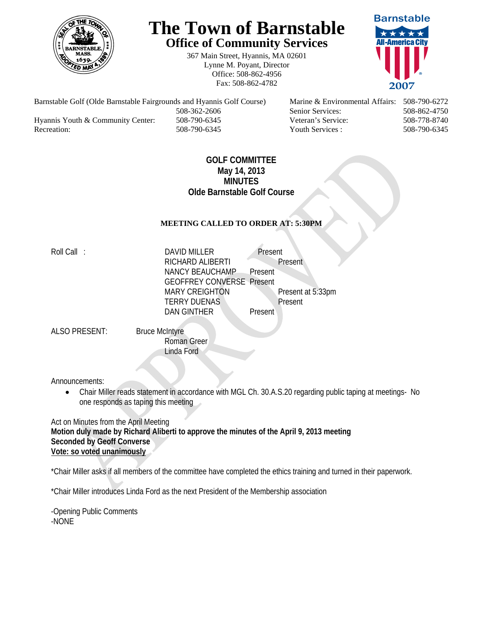

# **The Town of Barnstable Office of Community Services**

367 Main Street, Hyannis, MA 02601 Lynne M. Poyant, Director Office: 508-862-4956 Fax: 508-862-4782



 508-362-2606 Senior Services: 508-862-4750 Hyannis Youth & Community Center: 508-790-6345 Veteran's Service: 508-778-8740 Recreation: 508-790-6345 Youth Services : 508-790-6345 S08-790-6345

Barnstable Golf (Olde Barnstable Fairgrounds and Hyannis Golf Course) Marine & Environmental Affairs: 508-790-6272

## **GOLF COMMITTEE May 14, 2013 MINUTES Olde Barnstable Golf Course**

## **MEETING CALLED TO ORDER AT: 5:30PM**

Roll Call : DAVID MILLER Present RICHARD ALIBERTI Present NANCY BEAUCHAMP Present GEOFFREY CONVERSE Present MARY CREIGHTON Present at 5:33pm TERRY DUENAS Present DAN GINTHER Present

ALSO PRESENT: Bruce McIntyre

 Roman Greer Linda Ford

Announcements:

 Chair Miller reads statement in accordance with MGL Ch. 30.A.S.20 regarding public taping at meetings- No one responds as taping this meeting

Act on Minutes from the April Meeting **Motion duly made by Richard Aliberti to approve the minutes of the April 9, 2013 meeting Seconded by Geoff Converse Vote: so voted unanimously** 

\*Chair Miller asks if all members of the committee have completed the ethics training and turned in their paperwork.

\*Chair Miller introduces Linda Ford as the next President of the Membership association

-Opening Public Comments -NONE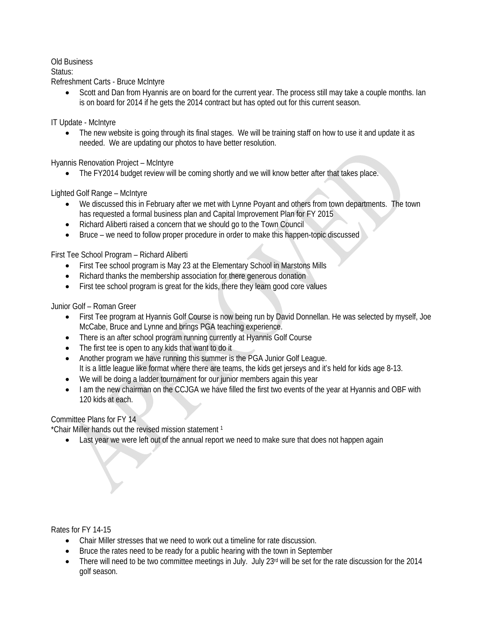#### Old Business

#### Status:

Refreshment Carts - Bruce McIntyre

 Scott and Dan from Hyannis are on board for the current year. The process still may take a couple months. Ian is on board for 2014 if he gets the 2014 contract but has opted out for this current season.

IT Update - McIntyre

• The new website is going through its final stages. We will be training staff on how to use it and update it as needed. We are updating our photos to have better resolution.

Hyannis Renovation Project – McIntyre

• The FY2014 budget review will be coming shortly and we will know better after that takes place.

Lighted Golf Range – McIntyre

- We discussed this in February after we met with Lynne Poyant and others from town departments. The town has requested a formal business plan and Capital Improvement Plan for FY 2015
- Richard Aliberti raised a concern that we should go to the Town Council
- Bruce we need to follow proper procedure in order to make this happen-topic discussed

First Tee School Program – Richard Aliberti

- First Tee school program is May 23 at the Elementary School in Marstons Mills
- Richard thanks the membership association for there generous donation
- First tee school program is great for the kids, there they learn good core values

Junior Golf – Roman Greer

- First Tee program at Hyannis Golf Course is now being run by David Donnellan. He was selected by myself, Joe McCabe, Bruce and Lynne and brings PGA teaching experience.
- There is an after school program running currently at Hyannis Golf Course
- The first tee is open to any kids that want to do it
- Another program we have running this summer is the PGA Junior Golf League.
- It is a little league like format where there are teams, the kids get jerseys and it's held for kids age 8-13.
- We will be doing a ladder tournament for our junior members again this year
- I am the new chairman on the CCJGA we have filled the first two events of the year at Hyannis and OBF with 120 kids at each.

## Committee Plans for FY 14

\*Chair Miller hands out the revised mission statement 1

• Last year we were left out of the annual report we need to make sure that does not happen again

Rates for FY 14-15

- Chair Miller stresses that we need to work out a timeline for rate discussion.
- Bruce the rates need to be ready for a public hearing with the town in September
- There will need to be two committee meetings in July. July  $23<sup>rd</sup>$  will be set for the rate discussion for the 2014 golf season.